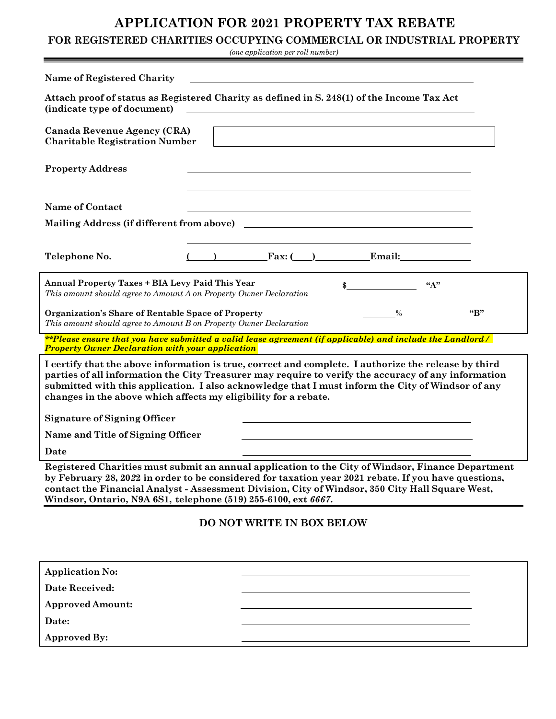## **APPLICATION FOR 2021 PROPERTY TAX REBATE**

## **FOR REGISTERED CHARITIES OCCUPYING COMMERCIAL OR INDUSTRIAL PROPERTY**

*(one application per roll number)*

| <b>Name of Registered Charity</b>                                                                                                                                                                                                                                                                                                                                                   |                           |                          |       |              |
|-------------------------------------------------------------------------------------------------------------------------------------------------------------------------------------------------------------------------------------------------------------------------------------------------------------------------------------------------------------------------------------|---------------------------|--------------------------|-------|--------------|
| Attach proof of status as Registered Charity as defined in S. 248(1) of the Income Tax Act<br>(indicate type of document)                                                                                                                                                                                                                                                           |                           |                          |       |              |
| Canada Revenue Agency (CRA)<br><b>Charitable Registration Number</b>                                                                                                                                                                                                                                                                                                                |                           |                          |       |              |
| <b>Property Address</b>                                                                                                                                                                                                                                                                                                                                                             |                           |                          |       |              |
| <b>Name of Contact</b>                                                                                                                                                                                                                                                                                                                                                              |                           |                          |       |              |
| Mailing Address (if different from above)                                                                                                                                                                                                                                                                                                                                           |                           |                          |       |              |
| Telephone No.                                                                                                                                                                                                                                                                                                                                                                       |                           | $\text{Fax:}$ ( ) Email: |       |              |
| <b>Annual Property Taxes + BIA Levy Paid This Year</b><br>This amount should agree to Amount A on Property Owner Declaration                                                                                                                                                                                                                                                        |                           | \$                       | $A$ " |              |
| Organization's Share of Rentable Space of Property<br>This amount should agree to Amount B on Property Owner Declaration                                                                                                                                                                                                                                                            |                           | $\frac{0}{0}$            |       | $\mathbf{G}$ |
| **Please ensure that you have submitted a valid lease agreement (if applicable) and include the Landlord /<br><b>Property Owner Declaration with your application</b>                                                                                                                                                                                                               |                           |                          |       |              |
| I certify that the above information is true, correct and complete. I authorize the release by third<br>parties of all information the City Treasurer may require to verify the accuracy of any information<br>submitted with this application. I also acknowledge that I must inform the City of Windsor of any<br>changes in the above which affects my eligibility for a rebate. |                           |                          |       |              |
| <b>Signature of Signing Officer</b>                                                                                                                                                                                                                                                                                                                                                 |                           |                          |       |              |
| Name and Title of Signing Officer                                                                                                                                                                                                                                                                                                                                                   |                           |                          |       |              |
| Date                                                                                                                                                                                                                                                                                                                                                                                |                           |                          |       |              |
| Registered Charities must submit an annual application to the City of Windsor, Finance Department<br>by February 28, 2022 in order to be considered for taxation year 2021 rebate. If you have questions,<br>contact the Financial Analyst - Assessment Division, City of Windsor, 350 City Hall Square West,<br>Windsor, Ontario, N9A 6S1, telephone (519) 255-6100, ext 6667.     |                           |                          |       |              |
|                                                                                                                                                                                                                                                                                                                                                                                     | DO NOT WRITE IN BOX BELOW |                          |       |              |
| <b>Application No:</b>                                                                                                                                                                                                                                                                                                                                                              |                           |                          |       |              |
| Date Received:                                                                                                                                                                                                                                                                                                                                                                      |                           |                          |       |              |
| <b>Approved Amount:</b>                                                                                                                                                                                                                                                                                                                                                             |                           |                          |       |              |
| Date:                                                                                                                                                                                                                                                                                                                                                                               |                           |                          |       |              |

**Approved By:**